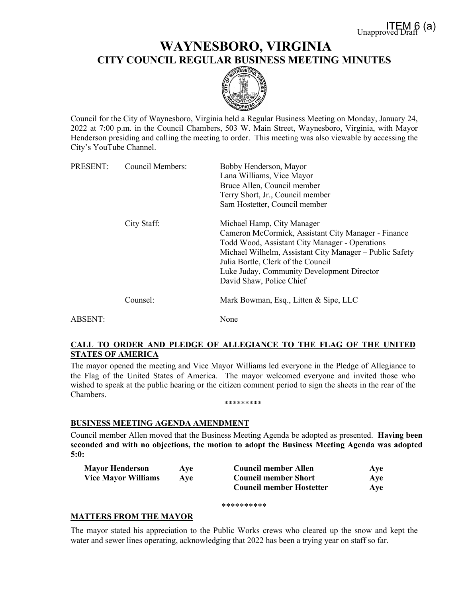# **WAYNESBORO, VIRGINIA CITY COUNCIL REGULAR BUSINESS MEETING MINUTES**



Council for the City of Waynesboro, Virginia held a Regular Business Meeting on Monday, January 24, 2022 at 7:00 p.m. in the Council Chambers, 503 W. Main Street, Waynesboro, Virginia, with Mayor Henderson presiding and calling the meeting to order. This meeting was also viewable by accessing the City's YouTube Channel.

| PRESENT: | <b>Council Members:</b> | Bobby Henderson, Mayor<br>Lana Williams, Vice Mayor<br>Bruce Allen, Council member<br>Terry Short, Jr., Council member                                                                                                                                                                                         |
|----------|-------------------------|----------------------------------------------------------------------------------------------------------------------------------------------------------------------------------------------------------------------------------------------------------------------------------------------------------------|
|          |                         | Sam Hostetter, Council member                                                                                                                                                                                                                                                                                  |
|          | City Staff:             | Michael Hamp, City Manager<br>Cameron McCormick, Assistant City Manager - Finance<br>Todd Wood, Assistant City Manager - Operations<br>Michael Wilhelm, Assistant City Manager - Public Safety<br>Julia Bortle, Clerk of the Council<br>Luke Juday, Community Development Director<br>David Shaw, Police Chief |
|          | Counsel:                | Mark Bowman, Esq., Litten & Sipe, LLC                                                                                                                                                                                                                                                                          |
| ABSENT:  |                         | None                                                                                                                                                                                                                                                                                                           |

# **CALL TO ORDER AND PLEDGE OF ALLEGIANCE TO THE FLAG OF THE UNITED STATES OF AMERICA**

The mayor opened the meeting and Vice Mayor Williams led everyone in the Pledge of Allegiance to the Flag of the United States of America. The mayor welcomed everyone and invited those who wished to speak at the public hearing or the citizen comment period to sign the sheets in the rear of the Chambers.

\*\*\*\*\*\*\*\*\*

### **BUSINESS MEETING AGENDA AMENDMENT**

Council member Allen moved that the Business Meeting Agenda be adopted as presented. **Having been seconded and with no objections, the motion to adopt the Business Meeting Agenda was adopted 5:0:**

| <b>Mayor Henderson</b>     | Ave | <b>Council member Allen</b>     | Aye |
|----------------------------|-----|---------------------------------|-----|
| <b>Vice Mayor Williams</b> | Ave | <b>Council member Short</b>     | Aye |
|                            |     | <b>Council member Hostetter</b> | Aye |

\*\*\*\*\*\*\*\*\*\*

# **MATTERS FROM THE MAYOR**

The mayor stated his appreciation to the Public Works crews who cleared up the snow and kept the water and sewer lines operating, acknowledging that 2022 has been a trying year on staff so far.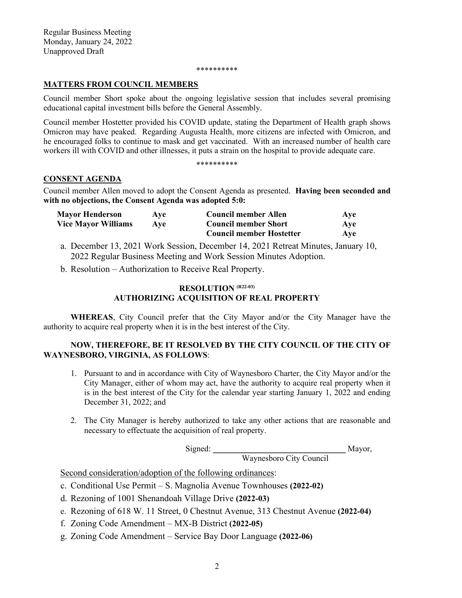#### \*\*\*\*\*\*\*\*\*\*

# **MATTERS FROM COUNCIL MEMBERS**

Council member Short spoke about the ongoing legislative session that includes several promising educational capital investment bills before the General Assembly.

Council member Hostetter provided his COVID update, stating the Department of Health graph shows Omicron may have peaked. Regarding Augusta Health, more citizens are infected with Omicron, and he encouraged folks to continue to mask and get vaccinated. With an increased number of health care workers ill with COVID and other illnesses, it puts a strain on the hospital to provide adequate care.

#### \*\*\*\*\*\*\*\*\*\*

### **CONSENT AGENDA**

Council member Allen moved to adopt the Consent Agenda as presented. **Having been seconded and with no objections, the Consent Agenda was adopted 5:0:**

| <b>Mayor Henderson</b>     | Ave | Council member Allen            | Aye |
|----------------------------|-----|---------------------------------|-----|
| <b>Vice Mayor Williams</b> | Ave | <b>Council member Short</b>     | Aye |
|                            |     | <b>Council member Hostetter</b> | Aye |

a. December 13, 2021 Work Session, December 14, 2021 Retreat Minutes, January 10, 2022 Regular Business Meeting and Work Session Minutes Adoption.

b. Resolution – Authorization to Receive Real Property.

# **RESOLUTION (R22-03) AUTHORIZING ACQUISITION OF REAL PROPERTY**

**WHEREAS**, City Council prefer that the City Mayor and/or the City Manager have the authority to acquire real property when it is in the best interest of the City.

# **NOW, THEREFORE, BE IT RESOLVED BY THE CITY COUNCIL OF THE CITY OF WAYNESBORO, VIRGINIA, AS FOLLOWS**:

- 1. Pursuant to and in accordance with City of Waynesboro Charter, the City Mayor and/or the City Manager, either of whom may act, have the authority to acquire real property when it is in the best interest of the City for the calendar year starting January 1, 2022 and ending December 31, 2022; and
- 2. The City Manager is hereby authorized to take any other actions that are reasonable and necessary to effectuate the acquisition of real property.

Signed: \_\_\_\_\_\_\_\_\_\_\_\_\_\_\_\_\_\_\_\_\_\_\_\_\_\_\_\_\_\_\_\_ Mayor,

Waynesboro City Council

Second consideration/adoption of the following ordinances:

- c. Conditional Use Permit S. Magnolia Avenue Townhouses **(2022-02)**
- d. Rezoning of 1001 Shenandoah Village Drive **(2022-03)**
- e. Rezoning of 618 W. 11 Street, 0 Chestnut Avenue, 313 Chestnut Avenue **(2022-04)**
- f. Zoning Code Amendment MX-B District **(2022-05)**
- g. Zoning Code Amendment Service Bay Door Language **(2022-06)**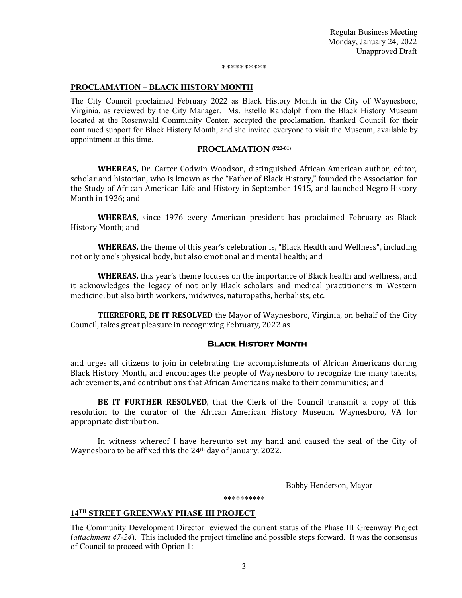#### \*\*\*\*\*\*\*\*\*\*

#### **PROCLAMATION – BLACK HISTORY MONTH**

The City Council proclaimed February 2022 as Black History Month in the City of Waynesboro, Virginia, as reviewed by the City Manager. Ms. Estello Randolph from the Black History Museum located at the Rosenwald Community Center, accepted the proclamation, thanked Council for their continued support for Black History Month, and she invited everyone to visit the Museum, available by appointment at this time.

#### **PROCLAMATION (P22-01)**

**WHEREAS,** Dr. Carter Godwin Woodson, distinguished African American author, editor, scholar and historian, who is known as the "Father of Black History," founded the Association for the Study of African American Life and History in September 1915, and launched Negro History Month in 1926; and

**WHEREAS,** since 1976 every American president has proclaimed February as Black History Month; and

**WHEREAS,** the theme of this year's celebration is, "Black Health and Wellness", including not only one's physical body, but also emotional and mental health; and

**WHEREAS,** this year's theme focuses on the importance of Black health and wellness, and it acknowledges the legacy of not only Black scholars and medical practitioners in Western medicine, but also birth workers, midwives, naturopaths, herbalists, etc.

**THEREFORE, BE IT RESOLVED** the Mayor of Waynesboro, Virginia, on behalf of the City Council, takes great pleasure in recognizing February, 2022 as

#### **Black History Month**

and urges all citizens to join in celebrating the accomplishments of African Americans during Black History Month, and encourages the people of Waynesboro to recognize the many talents, achievements, and contributions that African Americans make to their communities; and

**BE IT FURTHER RESOLVED**, that the Clerk of the Council transmit a copy of this resolution to the curator of the African American History Museum, Waynesboro, VA for appropriate distribution.

In witness whereof I have hereunto set my hand and caused the seal of the City of Waynesboro to be affixed this the 24th day of January, 2022.

> $\mathcal{L}_\text{max}$  , and the set of the set of the set of the set of the set of the set of the set of the set of the set of the set of the set of the set of the set of the set of the set of the set of the set of the set of the Bobby Henderson, Mayor

#### **14TH STREET GREENWAY PHASE III PROJECT**

The Community Development Director reviewed the current status of the Phase III Greenway Project (*attachment 47-24*). This included the project timeline and possible steps forward. It was the consensus of Council to proceed with Option 1:

\*\*\*\*\*\*\*\*\*\*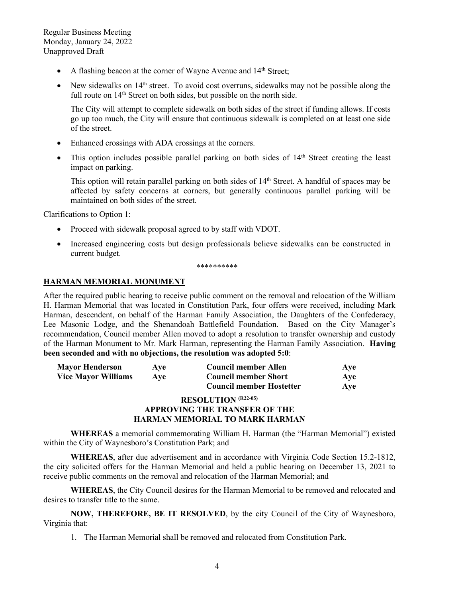- A flashing beacon at the corner of Wayne Avenue and 14<sup>th</sup> Street;
- New sidewalks on  $14<sup>th</sup>$  street. To avoid cost overruns, sidewalks may not be possible along the full route on  $14<sup>th</sup>$  Street on both sides, but possible on the north side.

The City will attempt to complete sidewalk on both sides of the street if funding allows. If costs go up too much, the City will ensure that continuous sidewalk is completed on at least one side of the street.

- Enhanced crossings with ADA crossings at the corners.
- This option includes possible parallel parking on both sides of  $14<sup>th</sup>$  Street creating the least impact on parking.

This option will retain parallel parking on both sides of 14<sup>th</sup> Street. A handful of spaces may be affected by safety concerns at corners, but generally continuous parallel parking will be maintained on both sides of the street.

Clarifications to Option 1:

- Proceed with sidewalk proposal agreed to by staff with VDOT.
- Increased engineering costs but design professionals believe sidewalks can be constructed in current budget.

\*\*\*\*\*\*\*\*\*\*

#### **HARMAN MEMORIAL MONUMENT**

After the required public hearing to receive public comment on the removal and relocation of the William H. Harman Memorial that was located in Constitution Park, four offers were received, including Mark Harman, descendent, on behalf of the Harman Family Association, the Daughters of the Confederacy, Lee Masonic Lodge, and the Shenandoah Battlefield Foundation. Based on the City Manager's recommendation, Council member Allen moved to adopt a resolution to transfer ownership and custody of the Harman Monument to Mr. Mark Harman, representing the Harman Family Association. **Having been seconded and with no objections, the resolution was adopted 5:0**:

| <b>Mayor Henderson</b>     | <b>Ave</b> | Council member Allen            | Ave |
|----------------------------|------------|---------------------------------|-----|
| <b>Vice Mayor Williams</b> | Ave        | <b>Council member Short</b>     | Ave |
|                            |            | <b>Council member Hostetter</b> | Ave |
|                            |            | <b>RESOLITION</b> $(R22-05)$    |     |

#### **RESOLUTION (R22-05) APPROVING THE TRANSFER OF THE HARMAN MEMORIAL TO MARK HARMAN**

**WHEREAS** a memorial commemorating William H. Harman (the "Harman Memorial") existed within the City of Waynesboro's Constitution Park; and

**WHEREAS**, after due advertisement and in accordance with Virginia Code Section 15.2-1812, the city solicited offers for the Harman Memorial and held a public hearing on December 13, 2021 to receive public comments on the removal and relocation of the Harman Memorial; and

**WHEREAS**, the City Council desires for the Harman Memorial to be removed and relocated and desires to transfer title to the same.

**NOW, THEREFORE, BE IT RESOLVED**, by the city Council of the City of Waynesboro, Virginia that:

1. The Harman Memorial shall be removed and relocated from Constitution Park.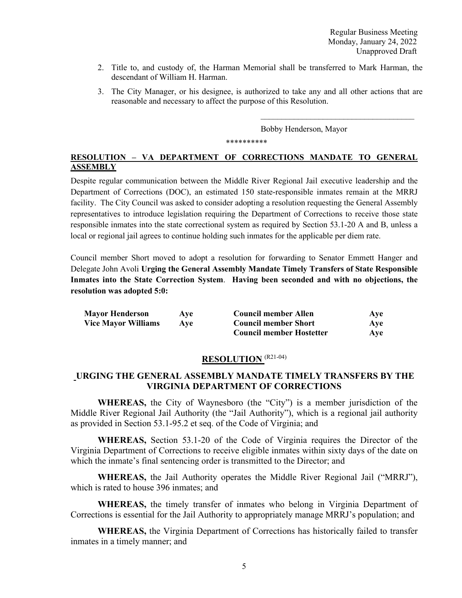- 2. Title to, and custody of, the Harman Memorial shall be transferred to Mark Harman, the descendant of William H. Harman.
- 3. The City Manager, or his designee, is authorized to take any and all other actions that are reasonable and necessary to affect the purpose of this Resolution.

Bobby Henderson, Mayor

 $\overline{\phantom{a}}$  , where  $\overline{\phantom{a}}$  , where  $\overline{\phantom{a}}$  , where  $\overline{\phantom{a}}$  , where  $\overline{\phantom{a}}$ 

\*\*\*\*\*\*\*\*\*\*

# **RESOLUTION – VA DEPARTMENT OF CORRECTIONS MANDATE TO GENERAL ASSEMBLY**

Despite regular communication between the Middle River Regional Jail executive leadership and the Department of Corrections (DOC), an estimated 150 state-responsible inmates remain at the MRRJ facility. The City Council was asked to consider adopting a resolution requesting the General Assembly representatives to introduce legislation requiring the Department of Corrections to receive those state responsible inmates into the state correctional system as required by Section 53.1-20 A and B, unless a local or regional jail agrees to continue holding such inmates for the applicable per diem rate.

Council member Short moved to adopt a resolution for forwarding to Senator Emmett Hanger and Delegate John Avoli **Urging the General Assembly Mandate Timely Transfers of State Responsible Inmates into the State Correction System**. **Having been seconded and with no objections, the resolution was adopted 5:0:**

| <b>Mayor Henderson</b>     | Ave | Council member Allen            | Aye |
|----------------------------|-----|---------------------------------|-----|
| <b>Vice Mayor Williams</b> | Ave | <b>Council member Short</b>     | Aye |
|                            |     | <b>Council member Hostetter</b> | Ave |

# **RESOLUTION** (R21-04)

# **URGING THE GENERAL ASSEMBLY MANDATE TIMELY TRANSFERS BY THE VIRGINIA DEPARTMENT OF CORRECTIONS**

**WHEREAS,** the City of Waynesboro (the "City") is a member jurisdiction of the Middle River Regional Jail Authority (the "Jail Authority"), which is a regional jail authority as provided in Section 53.1-95.2 et seq. of the Code of Virginia; and

**WHEREAS,** Section 53.1-20 of the Code of Virginia requires the Director of the Virginia Department of Corrections to receive eligible inmates within sixty days of the date on which the inmate's final sentencing order is transmitted to the Director; and

**WHEREAS,** the Jail Authority operates the Middle River Regional Jail ("MRRJ"), which is rated to house 396 inmates; and

**WHEREAS,** the timely transfer of inmates who belong in Virginia Department of Corrections is essential for the Jail Authority to appropriately manage MRRJ's population; and

**WHEREAS,** the Virginia Department of Corrections has historically failed to transfer inmates in a timely manner; and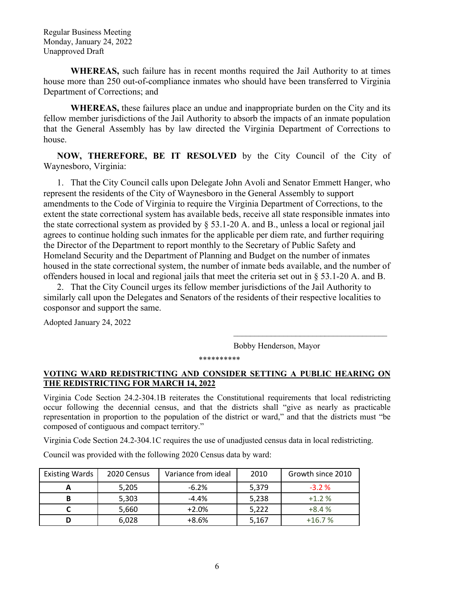**WHEREAS,** such failure has in recent months required the Jail Authority to at times house more than 250 out-of-compliance inmates who should have been transferred to Virginia Department of Corrections; and

**WHEREAS,** these failures place an undue and inappropriate burden on the City and its fellow member jurisdictions of the Jail Authority to absorb the impacts of an inmate population that the General Assembly has by law directed the Virginia Department of Corrections to house.

**NOW, THEREFORE, BE IT RESOLVED** by the City Council of the City of Waynesboro, Virginia:

1. That the City Council calls upon Delegate John Avoli and Senator Emmett Hanger, who represent the residents of the City of Waynesboro in the General Assembly to support amendments to the Code of Virginia to require the Virginia Department of Corrections, to the extent the state correctional system has available beds, receive all state responsible inmates into the state correctional system as provided by § 53.1-20 A. and B., unless a local or regional jail agrees to continue holding such inmates for the applicable per diem rate, and further requiring the Director of the Department to report monthly to the Secretary of Public Safety and Homeland Security and the Department of Planning and Budget on the number of inmates housed in the state correctional system, the number of inmate beds available, and the number of offenders housed in local and regional jails that meet the criteria set out in § 53.1-20 A. and B.

2. That the City Council urges its fellow member jurisdictions of the Jail Authority to similarly call upon the Delegates and Senators of the residents of their respective localities to cosponsor and support the same.

Adopted January 24, 2022

Bobby Henderson, Mayor

\_\_\_\_\_\_\_\_\_\_\_\_\_\_\_\_\_\_\_\_\_\_\_\_\_\_\_\_\_\_\_\_\_\_\_\_\_

\*\*\*\*\*\*\*\*\*\*

# **VOTING WARD REDISTRICTING AND CONSIDER SETTING A PUBLIC HEARING ON THE REDISTRICTING FOR MARCH 14, 2022**

Virginia Code Section 24.2-304.1B reiterates the Constitutional requirements that local redistricting occur following the decennial census, and that the districts shall "give as nearly as practicable representation in proportion to the population of the district or ward," and that the districts must "be composed of contiguous and compact territory."

Virginia Code Section 24.2-304.1C requires the use of unadjusted census data in local redistricting.

Council was provided with the following 2020 Census data by ward:

| <b>Existing Wards</b> | 2020 Census | Variance from ideal | 2010  | Growth since 2010 |
|-----------------------|-------------|---------------------|-------|-------------------|
| A                     | 5,205       | $-6.2%$             | 5,379 | $-3.2%$           |
| В                     | 5,303       | -4.4%               | 5,238 | $+1.2%$           |
|                       | 5,660       | $+2.0%$             | 5,222 | $+8.4%$           |
|                       | 6,028       | $+8.6%$             | 5,167 | $+16.7%$          |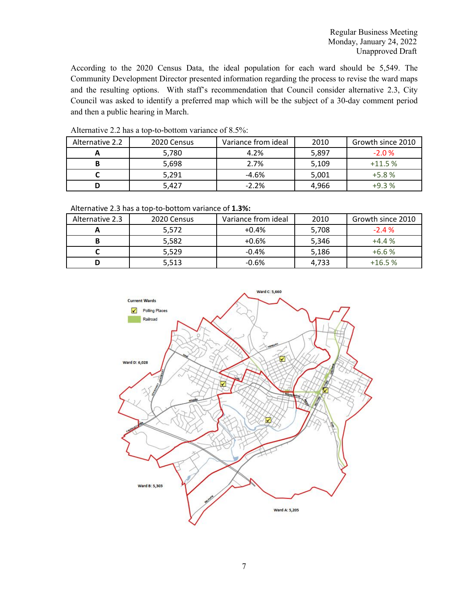According to the 2020 Census Data, the ideal population for each ward should be 5,549. The Community Development Director presented information regarding the process to revise the ward maps and the resulting options. With staff's recommendation that Council consider alternative 2.3, City Council was asked to identify a preferred map which will be the subject of a 30-day comment period and then a public hearing in March.

| Alternative 2.2 | 2020 Census | Variance from ideal | 2010  | Growth since 2010 |
|-----------------|-------------|---------------------|-------|-------------------|
|                 | 5,780       | 4.2%                | 5,897 | $-2.0%$           |
| В               | 5,698       | 2.7%                | 5,109 | $+11.5%$          |
|                 | 5,291       | $-4.6%$             | 5,001 | $+5.8%$           |
|                 | 5,427       | $-2.2%$             | 4.966 | $+9.3%$           |

Alternative 2.2 has a top-to-bottom variance of 8.5%:

Alternative 2.3 has a top-to-bottom variance of **1.3%:**

| Alternative 2.3 | 2020 Census | Variance from ideal | 2010  | Growth since 2010 |
|-----------------|-------------|---------------------|-------|-------------------|
| -               | 5,572       | $+0.4%$             | 5,708 | $-2.4%$           |
| В               | 5,582       | $+0.6%$             | 5,346 | $+4.4%$           |
|                 | 5,529       | $-0.4%$             | 5,186 | $+6.6%$           |
| D               | 5,513       | $-0.6%$             | 4.733 | $+16.5%$          |

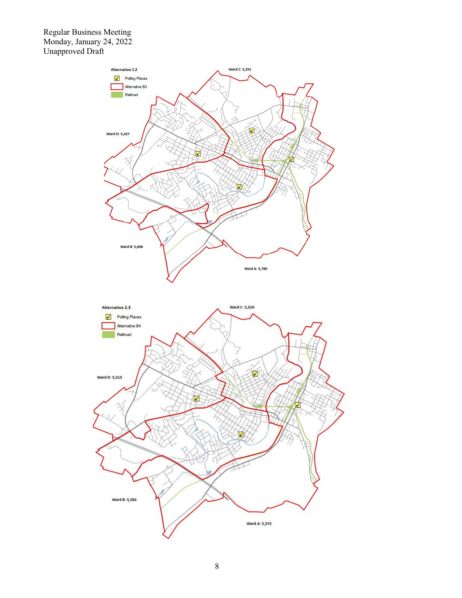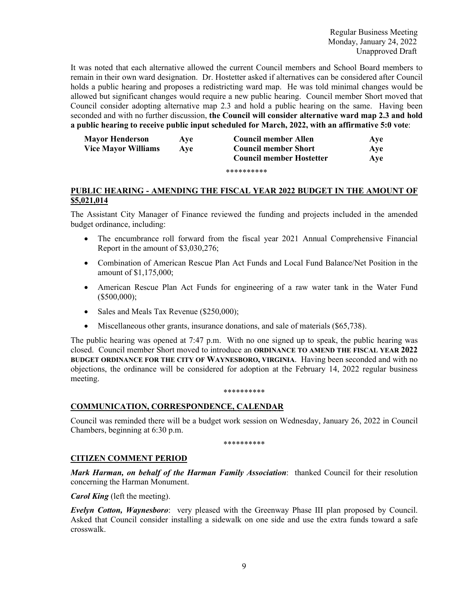It was noted that each alternative allowed the current Council members and School Board members to remain in their own ward designation. Dr. Hostetter asked if alternatives can be considered after Council holds a public hearing and proposes a redistricting ward map. He was told minimal changes would be allowed but significant changes would require a new public hearing. Council member Short moved that Council consider adopting alternative map 2.3 and hold a public hearing on the same. Having been seconded and with no further discussion, **the Council will consider alternative ward map 2.3 and hold a public hearing to receive public input scheduled for March, 2022, with an affirmative 5:0 vote**:

| <b>Mayor Henderson</b>     | <b>Ave</b> | Council member Allen            | Ave |
|----------------------------|------------|---------------------------------|-----|
| <b>Vice Mayor Williams</b> | <b>Ave</b> | <b>Council member Short</b>     | Ave |
|                            |            | <b>Council member Hostetter</b> | Ave |
|                            |            | **********                      |     |

#### **PUBLIC HEARING - AMENDING THE FISCAL YEAR 2022 BUDGET IN THE AMOUNT OF \$5,021,014**

The Assistant City Manager of Finance reviewed the funding and projects included in the amended budget ordinance, including:

- The encumbrance roll forward from the fiscal year 2021 Annual Comprehensive Financial Report in the amount of \$3,030,276;
- Combination of American Rescue Plan Act Funds and Local Fund Balance/Net Position in the amount of \$1,175,000;
- American Rescue Plan Act Funds for engineering of a raw water tank in the Water Fund (\$500,000);
- Sales and Meals Tax Revenue (\$250,000);
- Miscellaneous other grants, insurance donations, and sale of materials (\$65,738).

The public hearing was opened at 7:47 p.m. With no one signed up to speak, the public hearing was closed. Council member Short moved to introduce an **ORDINANCE TO AMEND THE FISCAL YEAR 2022 BUDGET ORDINANCE FOR THE CITY OF WAYNESBORO, VIRGINIA**. Having been seconded and with no objections, the ordinance will be considered for adoption at the February 14, 2022 regular business meeting.

#### \*\*\*\*\*\*\*\*\*\*

### **COMMUNICATION, CORRESPONDENCE, CALENDAR**

Council was reminded there will be a budget work session on Wednesday, January 26, 2022 in Council Chambers, beginning at 6:30 p.m.

\*\*\*\*\*\*\*\*\*\*

### **CITIZEN COMMENT PERIOD**

*Mark Harman, on behalf of the Harman Family Association*: thanked Council for their resolution concerning the Harman Monument.

*Carol King* (left the meeting).

*Evelyn Cotton, Waynesboro*: very pleased with the Greenway Phase III plan proposed by Council. Asked that Council consider installing a sidewalk on one side and use the extra funds toward a safe crosswalk.